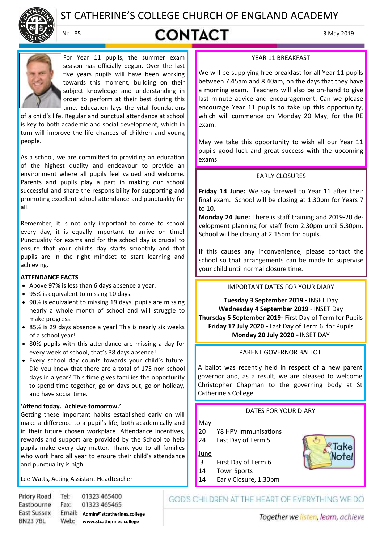

# ST CATHERINE'S COLLEGE CHURCH OF ENGLAND ACADEMY

# No. 85 **CONTACT**  $3^{May\,2019}$



For Year 11 pupils, the summer exam season has officially begun. Over the last five years pupils will have been working towards this moment, building on their subject knowledge and understanding in order to perform at their best during this time. Education lays the vital foundations

of a child's life. Regular and punctual attendance at school is key to both academic and social development, which in turn will improve the life chances of children and young people.

As a school, we are committed to providing an education of the highest quality and endeavour to provide an environment where all pupils feel valued and welcome. Parents and pupils play a part in making our school successful and share the responsibility for supporting and promoting excellent school attendance and punctuality for all.

Remember, it is not only important to come to school every day, it is equally important to arrive on time! Punctuality for exams and for the school day is crucial to ensure that your child's day starts smoothly and that pupils are in the right mindset to start learning and achieving.

#### **ATTENDANCE FACTS**

- Above 97% is less than 6 days absence a year.
- 95% is equivalent to missing 10 days.
- 90% is equivalent to missing 19 days, pupils are missing nearly a whole month of school and will struggle to make progress.
- 85% is 29 days absence a year! This is nearly six weeks of a school year!
- 80% pupils with this attendance are missing a day for every week of school, that's 38 days absence!
- Every school day counts towards your child's future. Did you know that there are a total of 175 non-school days in a year? This time gives families the opportunity to spend time together, go on days out, go on holiday, and have social time.

# **'Attend today. Achieve tomorrow.'**

Getting these important habits established early on will make a difference to a pupil's life, both academically and in their future chosen workplace. Attendance incentives, rewards and support are provided by the School to help pupils make every day matter. Thank you to all families who work hard all year to ensure their child's attendance and punctuality is high.

Lee Watts, Acting Assistant Headteacher

Priory Road Tel: 01323 465400 Eastbourne Fax: 01323 465465 **East Sussex Admin@stcatherines.college www.stcatherines.college BN237BL** 

# YEAR 11 BREAKFAST

We will be supplying free breakfast for all Year 11 pupils between 7.45am and 8.40am, on the days that they have a morning exam. Teachers will also be on-hand to give last minute advice and encouragement. Can we please encourage Year 11 pupils to take up this opportunity, which will commence on Monday 20 May, for the RE exam.

May we take this opportunity to wish all our Year 11 pupils good luck and great success with the upcoming exams.

# EARLY CLOSURES

**Friday 14 June:** We say farewell to Year 11 after their final exam. School will be closing at 1.30pm for Years 7 to 10.

**Monday 24 June:** There is staff training and 2019-20 development planning for staff from 2.30pm until 5.30pm. School will be closing at 2.15pm for pupils.

If this causes any inconvenience, please contact the school so that arrangements can be made to supervise your child until normal closure time.

# IMPORTANT DATES FOR YOUR DIARY

**Tuesday 3 September 2019** - INSET Day **Wednesday 4 September 2019** - INSET Day **Thursday 5 September 2019**- First Day of Term for Pupils **Friday 17 July 2020** - Last Day of Term 6 for Pupils **Monday 20 July 2020 -** INSET DAY

# PARENT GOVERNOR BALLOT

A ballot was recently held in respect of a new parent governor and, as a result, we are pleased to welcome Christopher Chapman to the governing body at St Catherine's College.

# DATES FOR YOUR DIARY

May

- 20 Y8 HPV Immunisations
- 24 Last Day of Term 5

June

- 3 First Day of Term 6
- 14 Town Sports
- 14 Early Closure, 1.30pm

GOD'S CHILDREN AT THE HEART OF EVERYTHING WE DO

Together we listen, learn, achieve

Take Notel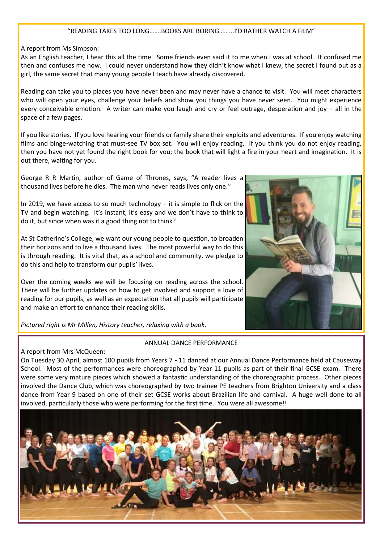### "READING TAKES TOO LONG…….BOOKS ARE BORING……...I'D RATHER WATCH A FILM"

#### A report from Ms Simpson:

As an English teacher, I hear this all the time. Some friends even said it to me when I was at school. It confused me then and confuses me now. I could never understand how they didn't know what I knew, the secret I found out as a girl, the same secret that many young people I teach have already discovered.

Reading can take you to places you have never been and may never have a chance to visit. You will meet characters who will open your eyes, challenge your beliefs and show you things you have never seen. You might experience every conceivable emotion. A writer can make you laugh and cry or feel outrage, desperation and joy – all in the space of a few pages.

If you like stories. If you love hearing your friends or family share their exploits and adventures. If you enjoy watching films and binge-watching that must-see TV box set. You will enjoy reading. If you think you do not enjoy reading, then you have not yet found the right book for you; the book that will light a fire in your heart and imagination. It is out there, waiting for you.

George R R Martin, author of Game of Thrones, says, "A reader lives a thousand lives before he dies. The man who never reads lives only one."



In 2019, we have access to so much technology – it is simple to flick on the TV and begin watching. It's instant, it's easy and we don't have to think to do it, but since when was it a good thing not to think?

At St Catherine's College, we want our young people to question, to broaden their horizons and to live a thousand lives. The most powerful way to do this is through reading. It is vital that, as a school and community, we pledge to do this and help to transform our pupils' lives.

Over the coming weeks we will be focusing on reading across the school. There will be further updates on how to get involved and support a love of reading for our pupils, as well as an expectation that all pupils will participate and make an effort to enhance their reading skills.

*Pictured right is Mr Millen, History teacher, relaxing with a book.*

# A report from Mrs McQueen:

#### ANNUAL DANCE PERFORMANCE

On Tuesday 30 April, almost 100 pupils from Years 7 - 11 danced at our Annual Dance Performance held at Causeway School. Most of the performances were choreographed by Year 11 pupils as part of their final GCSE exam. There were some very mature pieces which showed a fantastic understanding of the choreographic process. Other pieces involved the Dance Club, which was choreographed by two trainee PE teachers from Brighton University and a class dance from Year 9 based on one of their set GCSE works about Brazilian life and carnival. A huge well done to all involved, particularly those who were performing for the first time. You were all awesome!!